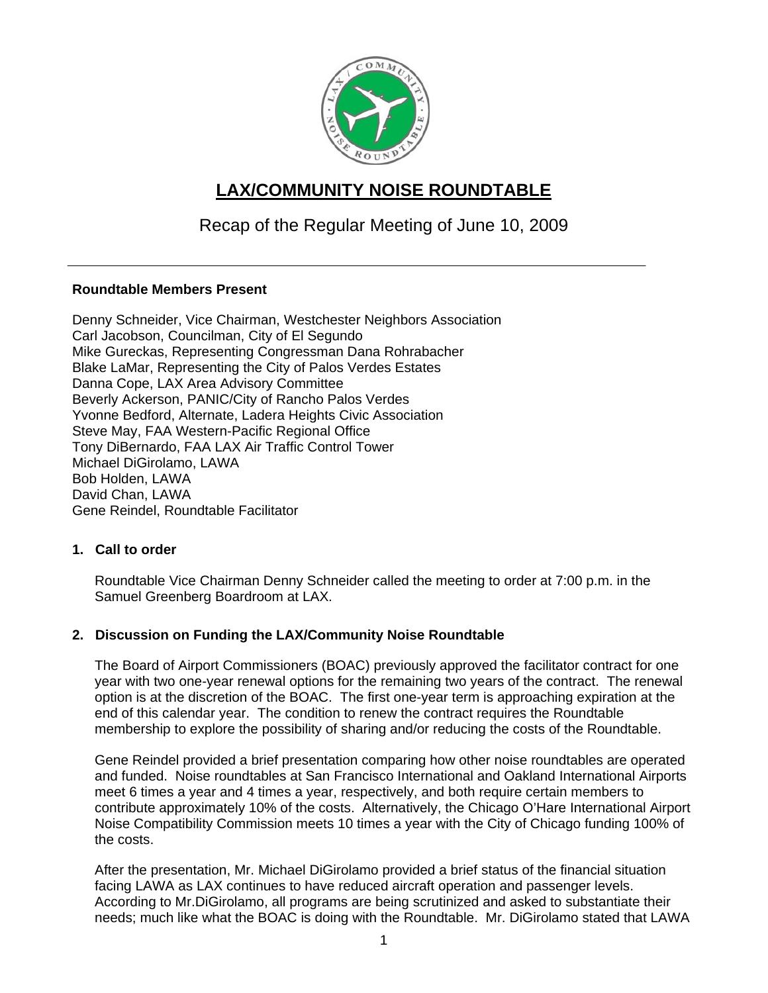

# **LAX/COMMUNITY NOISE ROUNDTABLE**

## Recap of the Regular Meeting of June 10, 2009

#### **Roundtable Members Present**

Denny Schneider, Vice Chairman, Westchester Neighbors Association Carl Jacobson, Councilman, City of El Segundo Mike Gureckas, Representing Congressman Dana Rohrabacher Blake LaMar, Representing the City of Palos Verdes Estates Danna Cope, LAX Area Advisory Committee Beverly Ackerson, PANIC/City of Rancho Palos Verdes Yvonne Bedford, Alternate, Ladera Heights Civic Association Steve May, FAA Western-Pacific Regional Office Tony DiBernardo, FAA LAX Air Traffic Control Tower Michael DiGirolamo, LAWA Bob Holden, LAWA David Chan, LAWA Gene Reindel, Roundtable Facilitator

#### **1. Call to order**

Roundtable Vice Chairman Denny Schneider called the meeting to order at 7:00 p.m. in the Samuel Greenberg Boardroom at LAX.

### **2. Discussion on Funding the LAX/Community Noise Roundtable**

The Board of Airport Commissioners (BOAC) previously approved the facilitator contract for one year with two one-year renewal options for the remaining two years of the contract. The renewal option is at the discretion of the BOAC. The first one-year term is approaching expiration at the end of this calendar year. The condition to renew the contract requires the Roundtable membership to explore the possibility of sharing and/or reducing the costs of the Roundtable.

Gene Reindel provided a brief presentation comparing how other noise roundtables are operated and funded. Noise roundtables at San Francisco International and Oakland International Airports meet 6 times a year and 4 times a year, respectively, and both require certain members to contribute approximately 10% of the costs. Alternatively, the Chicago O'Hare International Airport Noise Compatibility Commission meets 10 times a year with the City of Chicago funding 100% of the costs.

After the presentation, Mr. Michael DiGirolamo provided a brief status of the financial situation facing LAWA as LAX continues to have reduced aircraft operation and passenger levels. According to Mr.DiGirolamo, all programs are being scrutinized and asked to substantiate their needs; much like what the BOAC is doing with the Roundtable. Mr. DiGirolamo stated that LAWA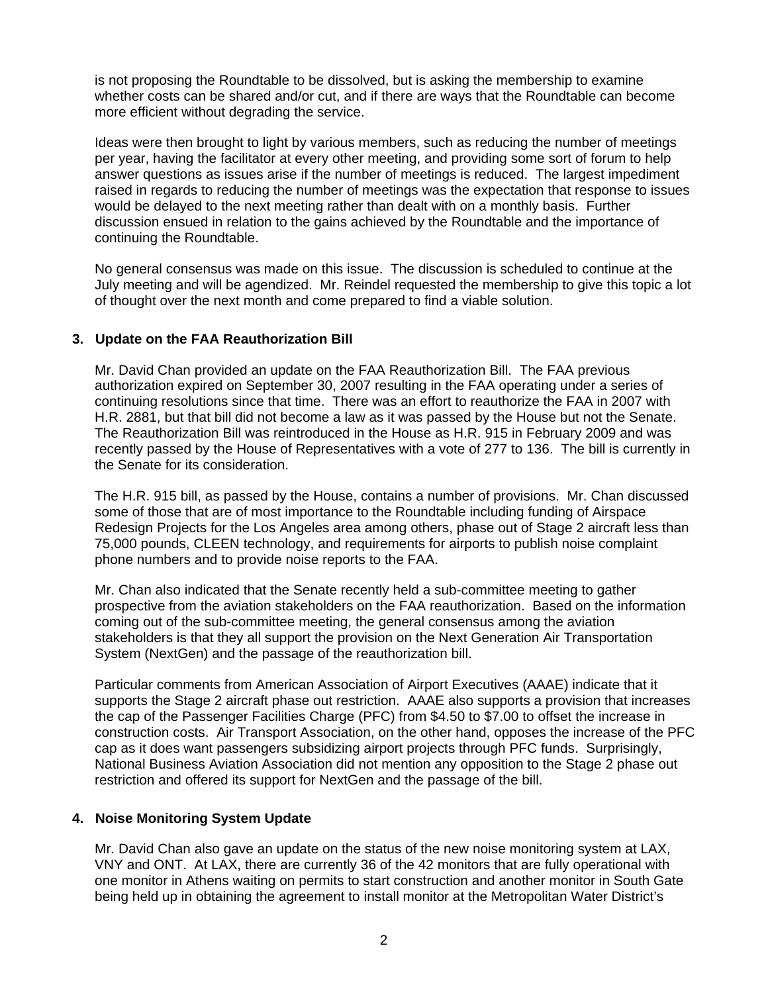is not proposing the Roundtable to be dissolved, but is asking the membership to examine whether costs can be shared and/or cut, and if there are ways that the Roundtable can become more efficient without degrading the service.

Ideas were then brought to light by various members, such as reducing the number of meetings per year, having the facilitator at every other meeting, and providing some sort of forum to help answer questions as issues arise if the number of meetings is reduced. The largest impediment raised in regards to reducing the number of meetings was the expectation that response to issues would be delayed to the next meeting rather than dealt with on a monthly basis. Further discussion ensued in relation to the gains achieved by the Roundtable and the importance of continuing the Roundtable.

No general consensus was made on this issue. The discussion is scheduled to continue at the July meeting and will be agendized. Mr. Reindel requested the membership to give this topic a lot of thought over the next month and come prepared to find a viable solution.

#### **3. Update on the FAA Reauthorization Bill**

Mr. David Chan provided an update on the FAA Reauthorization Bill. The FAA previous authorization expired on September 30, 2007 resulting in the FAA operating under a series of continuing resolutions since that time. There was an effort to reauthorize the FAA in 2007 with H.R. 2881, but that bill did not become a law as it was passed by the House but not the Senate. The Reauthorization Bill was reintroduced in the House as H.R. 915 in February 2009 and was recently passed by the House of Representatives with a vote of 277 to 136. The bill is currently in the Senate for its consideration.

The H.R. 915 bill, as passed by the House, contains a number of provisions. Mr. Chan discussed some of those that are of most importance to the Roundtable including funding of Airspace Redesign Projects for the Los Angeles area among others, phase out of Stage 2 aircraft less than 75,000 pounds, CLEEN technology, and requirements for airports to publish noise complaint phone numbers and to provide noise reports to the FAA.

Mr. Chan also indicated that the Senate recently held a sub-committee meeting to gather prospective from the aviation stakeholders on the FAA reauthorization. Based on the information coming out of the sub-committee meeting, the general consensus among the aviation stakeholders is that they all support the provision on the Next Generation Air Transportation System (NextGen) and the passage of the reauthorization bill.

Particular comments from American Association of Airport Executives (AAAE) indicate that it supports the Stage 2 aircraft phase out restriction. AAAE also supports a provision that increases the cap of the Passenger Facilities Charge (PFC) from \$4.50 to \$7.00 to offset the increase in construction costs. Air Transport Association, on the other hand, opposes the increase of the PFC cap as it does want passengers subsidizing airport projects through PFC funds. Surprisingly, National Business Aviation Association did not mention any opposition to the Stage 2 phase out restriction and offered its support for NextGen and the passage of the bill.

#### **4. Noise Monitoring System Update**

Mr. David Chan also gave an update on the status of the new noise monitoring system at LAX, VNY and ONT. At LAX, there are currently 36 of the 42 monitors that are fully operational with one monitor in Athens waiting on permits to start construction and another monitor in South Gate being held up in obtaining the agreement to install monitor at the Metropolitan Water District's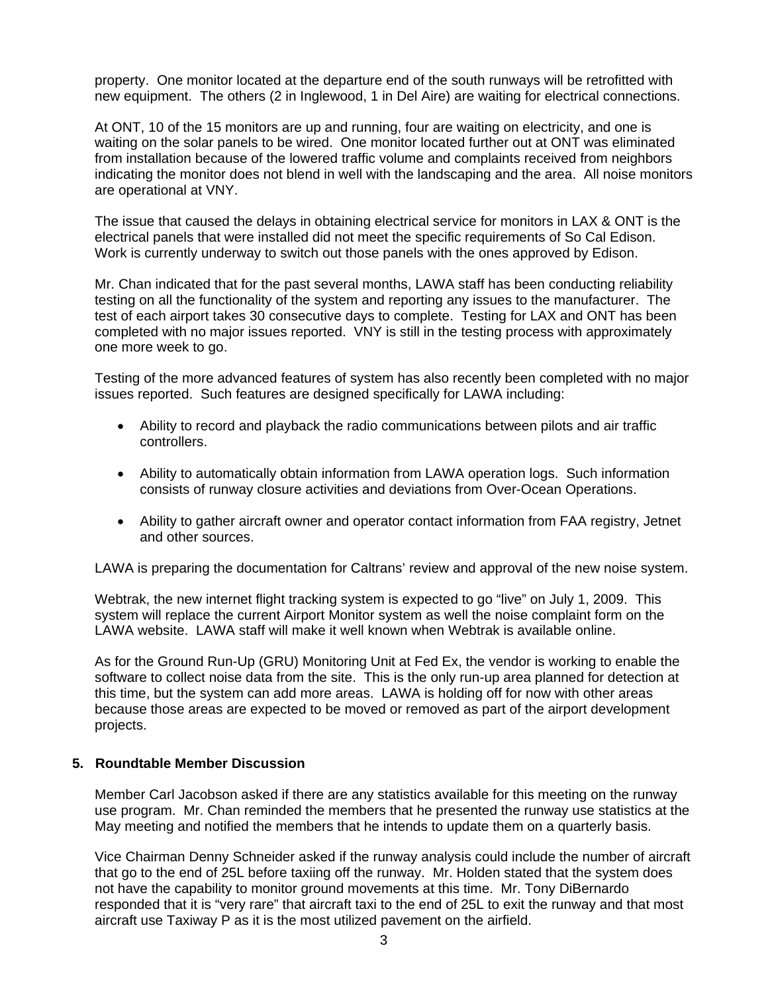property. One monitor located at the departure end of the south runways will be retrofitted with new equipment. The others (2 in Inglewood, 1 in Del Aire) are waiting for electrical connections.

At ONT, 10 of the 15 monitors are up and running, four are waiting on electricity, and one is waiting on the solar panels to be wired. One monitor located further out at ONT was eliminated from installation because of the lowered traffic volume and complaints received from neighbors indicating the monitor does not blend in well with the landscaping and the area. All noise monitors are operational at VNY.

The issue that caused the delays in obtaining electrical service for monitors in LAX & ONT is the electrical panels that were installed did not meet the specific requirements of So Cal Edison. Work is currently underway to switch out those panels with the ones approved by Edison.

Mr. Chan indicated that for the past several months, LAWA staff has been conducting reliability testing on all the functionality of the system and reporting any issues to the manufacturer. The test of each airport takes 30 consecutive days to complete. Testing for LAX and ONT has been completed with no major issues reported. VNY is still in the testing process with approximately one more week to go.

Testing of the more advanced features of system has also recently been completed with no major issues reported. Such features are designed specifically for LAWA including:

- Ability to record and playback the radio communications between pilots and air traffic controllers.
- Ability to automatically obtain information from LAWA operation logs. Such information consists of runway closure activities and deviations from Over-Ocean Operations.
- Ability to gather aircraft owner and operator contact information from FAA registry, Jetnet and other sources.

LAWA is preparing the documentation for Caltrans' review and approval of the new noise system.

Webtrak, the new internet flight tracking system is expected to go "live" on July 1, 2009. This system will replace the current Airport Monitor system as well the noise complaint form on the LAWA website. LAWA staff will make it well known when Webtrak is available online.

As for the Ground Run-Up (GRU) Monitoring Unit at Fed Ex, the vendor is working to enable the software to collect noise data from the site. This is the only run-up area planned for detection at this time, but the system can add more areas. LAWA is holding off for now with other areas because those areas are expected to be moved or removed as part of the airport development projects.

#### **5. Roundtable Member Discussion**

Member Carl Jacobson asked if there are any statistics available for this meeting on the runway use program. Mr. Chan reminded the members that he presented the runway use statistics at the May meeting and notified the members that he intends to update them on a quarterly basis.

Vice Chairman Denny Schneider asked if the runway analysis could include the number of aircraft that go to the end of 25L before taxiing off the runway. Mr. Holden stated that the system does not have the capability to monitor ground movements at this time. Mr. Tony DiBernardo responded that it is "very rare" that aircraft taxi to the end of 25L to exit the runway and that most aircraft use Taxiway P as it is the most utilized pavement on the airfield.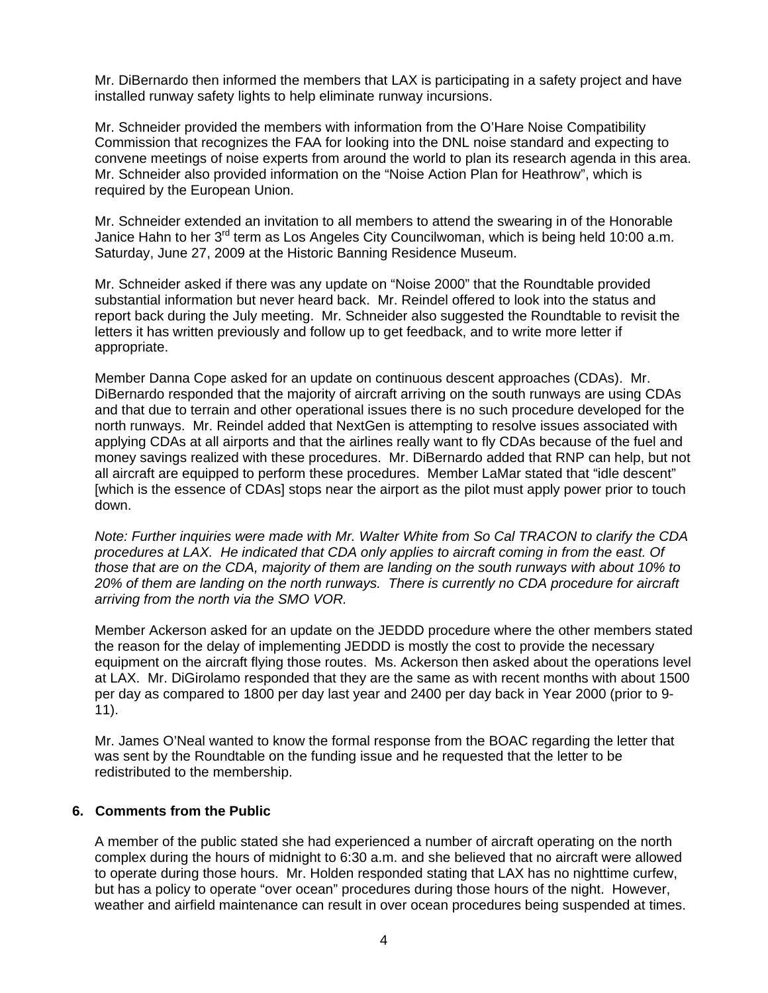Mr. DiBernardo then informed the members that LAX is participating in a safety project and have installed runway safety lights to help eliminate runway incursions.

Mr. Schneider provided the members with information from the O'Hare Noise Compatibility Commission that recognizes the FAA for looking into the DNL noise standard and expecting to convene meetings of noise experts from around the world to plan its research agenda in this area. Mr. Schneider also provided information on the "Noise Action Plan for Heathrow", which is required by the European Union.

Mr. Schneider extended an invitation to all members to attend the swearing in of the Honorable Janice Hahn to her 3<sup>rd</sup> term as Los Angeles City Councilwoman, which is being held 10:00 a.m. Saturday, June 27, 2009 at the Historic Banning Residence Museum.

Mr. Schneider asked if there was any update on "Noise 2000" that the Roundtable provided substantial information but never heard back. Mr. Reindel offered to look into the status and report back during the July meeting. Mr. Schneider also suggested the Roundtable to revisit the letters it has written previously and follow up to get feedback, and to write more letter if appropriate.

Member Danna Cope asked for an update on continuous descent approaches (CDAs). Mr. DiBernardo responded that the majority of aircraft arriving on the south runways are using CDAs and that due to terrain and other operational issues there is no such procedure developed for the north runways. Mr. Reindel added that NextGen is attempting to resolve issues associated with applying CDAs at all airports and that the airlines really want to fly CDAs because of the fuel and money savings realized with these procedures. Mr. DiBernardo added that RNP can help, but not all aircraft are equipped to perform these procedures. Member LaMar stated that "idle descent" [which is the essence of CDAs] stops near the airport as the pilot must apply power prior to touch down.

*Note: Further inquiries were made with Mr. Walter White from So Cal TRACON to clarify the CDA procedures at LAX. He indicated that CDA only applies to aircraft coming in from the east. Of those that are on the CDA, majority of them are landing on the south runways with about 10% to 20% of them are landing on the north runways. There is currently no CDA procedure for aircraft arriving from the north via the SMO VOR.* 

Member Ackerson asked for an update on the JEDDD procedure where the other members stated the reason for the delay of implementing JEDDD is mostly the cost to provide the necessary equipment on the aircraft flying those routes. Ms. Ackerson then asked about the operations level at LAX. Mr. DiGirolamo responded that they are the same as with recent months with about 1500 per day as compared to 1800 per day last year and 2400 per day back in Year 2000 (prior to 9- 11).

Mr. James O'Neal wanted to know the formal response from the BOAC regarding the letter that was sent by the Roundtable on the funding issue and he requested that the letter to be redistributed to the membership.

### **6. Comments from the Public**

A member of the public stated she had experienced a number of aircraft operating on the north complex during the hours of midnight to 6:30 a.m. and she believed that no aircraft were allowed to operate during those hours. Mr. Holden responded stating that LAX has no nighttime curfew, but has a policy to operate "over ocean" procedures during those hours of the night. However, weather and airfield maintenance can result in over ocean procedures being suspended at times.